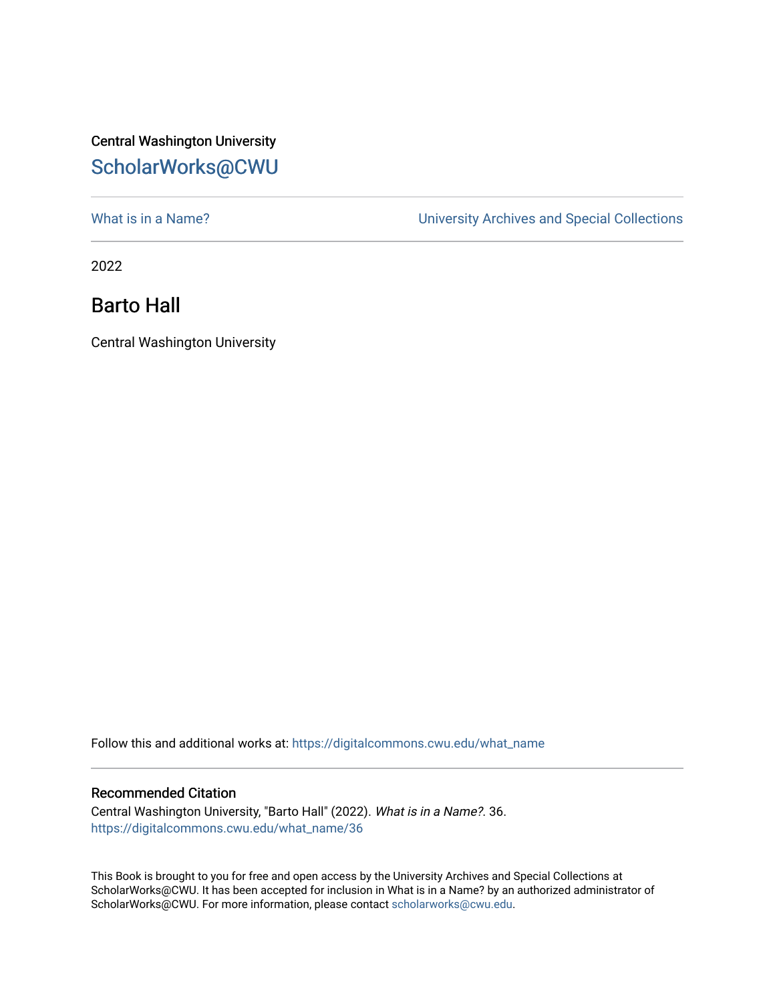## Central Washington University [ScholarWorks@CWU](https://digitalcommons.cwu.edu/)

What is in a Name?<br>
University Archives and Special Collections

2022

## Barto Hall

Central Washington University

Follow this and additional works at: [https://digitalcommons.cwu.edu/what\\_name](https://digitalcommons.cwu.edu/what_name?utm_source=digitalcommons.cwu.edu%2Fwhat_name%2F36&utm_medium=PDF&utm_campaign=PDFCoverPages) 

## Recommended Citation

Central Washington University, "Barto Hall" (2022). What is in a Name?. 36. [https://digitalcommons.cwu.edu/what\\_name/36](https://digitalcommons.cwu.edu/what_name/36?utm_source=digitalcommons.cwu.edu%2Fwhat_name%2F36&utm_medium=PDF&utm_campaign=PDFCoverPages) 

This Book is brought to you for free and open access by the University Archives and Special Collections at ScholarWorks@CWU. It has been accepted for inclusion in What is in a Name? by an authorized administrator of ScholarWorks@CWU. For more information, please contact [scholarworks@cwu.edu](mailto:scholarworks@cwu.edu).